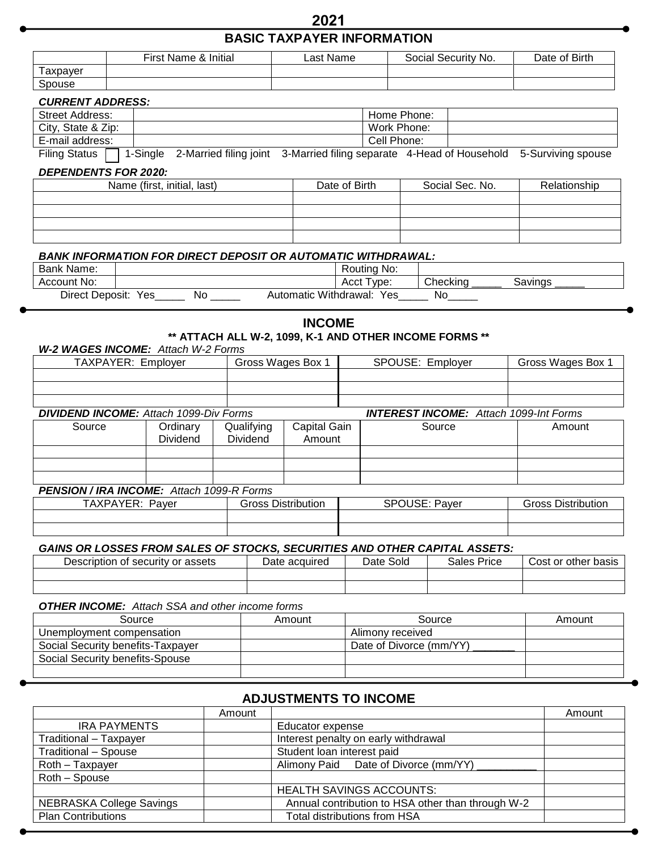# **2021 BASIC TAXPAYER INFORMATION**

|          | First Name & Initial | Last Name | Social Security No. | Date of Birth |
|----------|----------------------|-----------|---------------------|---------------|
| Taxpayer |                      |           |                     |               |
| Spouse   |                      |           |                     |               |

## *CURRENT ADDRESS:*

| <b>Street Address:</b> | Home Phone:                                                                 |
|------------------------|-----------------------------------------------------------------------------|
| City, State & Zip:     | Work Phone:                                                                 |
| E-mail address:        | Cell Phone:                                                                 |
|                        | $\mathcal{L}(\mathbf{C}^{(1)} \cup \mathbf{C}^{(2)} \cup \mathbf{C}^{(3)})$ |

Filing Status | 1-Single 2-Married filing joint 3-Married filing separate 4-Head of Household 5-Surviving spouse

#### *DEPENDENTS FOR 2020:*

| Name (first, initial, last) | Date of Birth | Social Sec. No. | Relationship |
|-----------------------------|---------------|-----------------|--------------|
|                             |               |                 |              |
|                             |               |                 |              |
|                             |               |                 |              |
|                             |               |                 |              |

## *BANK INFORMATION FOR DIRECT DEPOSIT OR AUTOMATIC WITHDRAWAL:*

| Bank Name:         |                |    |                       | ' No.<br>Routina |          |         |
|--------------------|----------------|----|-----------------------|------------------|----------|---------|
| Account No:        |                |    |                       | Type:<br>Acct    | Checking | Savings |
| Direct<br>Deposit: | Yes<br>_______ | No | Automatic Withdrawal: | Yes              | NC       |         |

# **INCOME**

## **\*\* ATTACH ALL W-2, 1099, K-1 AND OTHER INCOME FORMS \*\***

| W-2 WAGES INCOME: Attach W-2 Forms                                                             |                 |                   |              |                  |        |                   |  |
|------------------------------------------------------------------------------------------------|-----------------|-------------------|--------------|------------------|--------|-------------------|--|
| TAXPAYER: Employer                                                                             |                 | Gross Wages Box 1 |              | SPOUSE: Employer |        | Gross Wages Box 1 |  |
|                                                                                                |                 |                   |              |                  |        |                   |  |
|                                                                                                |                 |                   |              |                  |        |                   |  |
|                                                                                                |                 |                   |              |                  |        |                   |  |
| <b>DIVIDEND INCOME:</b> Attach 1099-Div Forms<br><b>INTEREST INCOME:</b> Attach 1099-Int Forms |                 |                   |              |                  |        |                   |  |
| Source                                                                                         | Ordinary        | Qualifying        | Capital Gain |                  | Source | Amount            |  |
|                                                                                                | <b>Dividend</b> | <b>Dividend</b>   | Amount       |                  |        |                   |  |
|                                                                                                |                 |                   |              |                  |        |                   |  |
|                                                                                                |                 |                   |              |                  |        |                   |  |
|                                                                                                |                 |                   |              |                  |        |                   |  |
| <b>PENSION / IRA INCOME:</b> Attach 1099-R Forms                                               |                 |                   |              |                  |        |                   |  |

| $\mathbf{v}$<br>Paver<br>AXPA <sup>-</sup><br>-<br>. | <br><b>Distribution</b><br>' ross. | SPOUSE:<br>-<br>Paver | . Distribution<br>sanns. |
|------------------------------------------------------|------------------------------------|-----------------------|--------------------------|
|                                                      |                                    |                       |                          |
|                                                      |                                    |                       |                          |

#### *GAINS OR LOSSES FROM SALES OF STOCKS, SECURITIES AND OTHER CAPITAL ASSETS:*

| security or assets<br>Description<br>-OT | Date acquired | ∖ Solo<br>Date | Price<br>Sales | Cost<br>or other<br>basis |
|------------------------------------------|---------------|----------------|----------------|---------------------------|
|                                          |               |                |                |                           |
|                                          |               |                |                |                           |

## *OTHER INCOME: Attach SSA and other income forms*

| Source                            | Amount | Source                  | Amount |
|-----------------------------------|--------|-------------------------|--------|
| Unemployment compensation         |        | Alimony received        |        |
| Social Security benefits-Taxpayer |        | Date of Divorce (mm/YY) |        |
| Social Security benefits-Spouse   |        |                         |        |
|                                   |        |                         |        |

## **ADJUSTMENTS TO INCOME**

|                             | Amount |                                                   | Amount |  |
|-----------------------------|--------|---------------------------------------------------|--------|--|
| <b>IRA PAYMENTS</b>         |        | Educator expense                                  |        |  |
| Traditional - Taxpayer      |        | Interest penalty on early withdrawal              |        |  |
| <b>Traditional - Spouse</b> |        | Student loan interest paid                        |        |  |
| Roth - Taxpayer             |        | Alimony Paid Date of Divorce (mm/YY)              |        |  |
| Roth - Spouse               |        |                                                   |        |  |
|                             |        | <b>HEALTH SAVINGS ACCOUNTS:</b>                   |        |  |
| NEBRASKA College Savings    |        | Annual contribution to HSA other than through W-2 |        |  |
| <b>Plan Contributions</b>   |        | Total distributions from HSA                      |        |  |